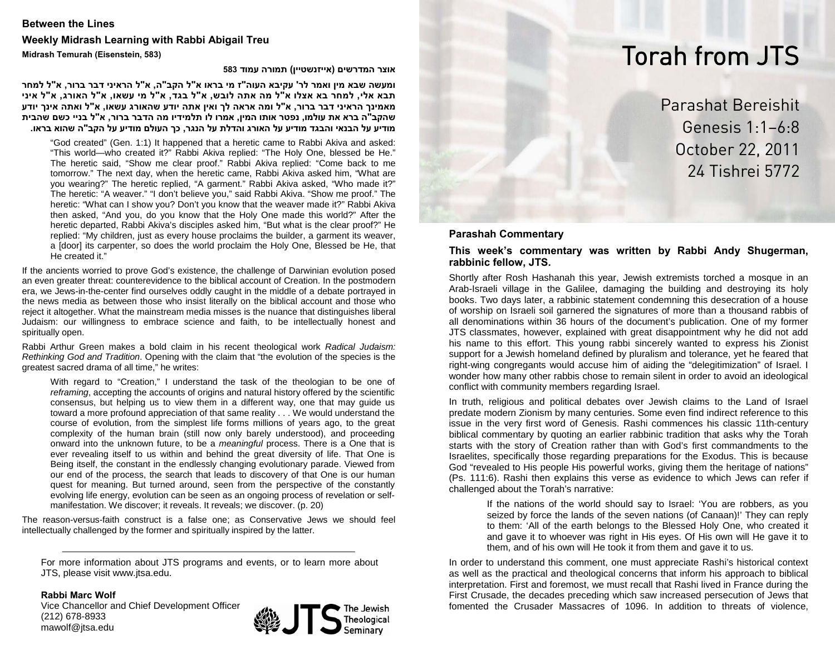# **Between the Lines Weekly Midrash Learning with Rabbi Abigail Treu Midrash Temurah (Eisenstein, 583)**

**אוצר המדרשים (אייזנשטיין) תמורה עמוד <sup>583</sup>**

ומעשה שבא מין ואמר לר' עקיבא העוה"ז מי בראו א"ל הקב"ה, א"ל הראיני דבר ברור, א"ל למחר תבא אלי, למחר בא אצלו א"ל מה אתה לובש, א"ל בגד, א"ל מי עשאו, א"ל האורג, א"ל איני מאמינך הראיני דבר ברור, א"ל ומה אראה לך ואין אתה יודע שהאורג עשאו, א"ל ואתה אינך יודע שהקב"ה ברא את עולמו, נפטר אותו המין, אמרו לו תלמידיו מה הדבר ברור, א"ל בניי כשם שהבית מודיע על הבנאי והבגד מודיע על האורג והדלת על הנגר, כך העולם מודיע על הקב"ה שהוא בראו.

"God created" (Gen. 1:1) It happened that a heretic came to Rabbi Akiva and asked: "This world—who created it?" Rabbi Akiva replied: "The Holy One, blessed be He." The heretic said, "Show me clear proof." Rabbi Akiva replied: "Come back to me tomorrow." The next day, when the heretic came, Rabbi Akiva asked him, "What are you wearing?" The heretic replied, "A garment." Rabbi Akiva asked, "Who made it?" The heretic: "A weaver." "I don't believe you," said Rabbi Akiva. "Show me proof." The heretic: "What can I show you? Don't you know that the weaver made it?" Rabbi Akiva then asked, "And you, do you know that the Holy One made this world?" After the heretic departed, Rabbi Akiva's disciples asked him, "But what is the clear proof?" He replied: "My children, just as every house proclaims the builder, a garment its weaver, a [door] its carpenter, so does the world proclaim the Holy One, Blessed be He, that He created it."

If the ancients worried to prove God's existence, the challenge of Darwinian evolution posed an even greater threat: counterevidence to the biblical account of Creation. In the postmodern era, we Jews-in-the-center find ourselves oddly caught in the middle of a debate portrayed in the news media as between those who insist literally on the biblical account and those who reject it altogether. What the mainstream media misses is the nuance that distinguishes liberal Judaism: our willingness to embrace science and faith, to be intellectually honest and spiritually open.

Rabbi Arthur Green makes a bold claim in his recent theological work *Radical Judaism: Rethinking God and Tradition*. Opening with the claim that "the evolution of the species is the greatest sacred drama of all time," he writes:

With regard to "Creation," I understand the task of the theologian to be one of *reframing*, accepting the accounts of origins and natural history offered by the scientific consensus, but helping us to view them in a different way, one that may guide us toward a more profound appreciation of that same reality . . . We would understand the course of evolution, from the simplest life forms millions of years ago, to the great complexity of the human brain (still now only barely understood), and proceeding onward into the unknown future, to be a *meaningful* process. There is a One that is ever revealing itself to us within and behind the great diversity of life. That One is Being itself, the constant in the endlessly changing evolutionary parade. Viewed from our end of the process, the search that leads to discovery of that One is our human quest for meaning. But turned around, seen from the perspective of the constantly evolving life energy, evolution can be seen as an ongoing process of revelation or selfmanifestation. We discover; it reveals. It reveals; we discover. (p. 20)

The reason-versus-faith construct is a false one; as Conservative Jews we should feel intellectually challenged by the former and spiritually inspired by the latter.

For more information about JTS programs and events, or to learn more about JTS, please visit www.jtsa.edu.

**Rabbi Marc Wolf**

Vice Chancellor and Chief Development Officer (212) 678-8933 mawolf@jtsa.edu



# Torah from JTS

Parashat Bereishit Genesis 1:1–6:8 October 22, 2011 24 Tishrei 5772

## **Parashah Commentary**

**This week's commentary was written by Rabbi Andy Shugerman, rabbinic fellow, JTS.** 

Shortly after Rosh Hashanah this year, Jewish extremists torched a mosque in an Arab-Israeli village in the Galilee, damaging the building and destroying its holy books. Two days later, a rabbinic statement condemning this desecration of a house of worship on Israeli soil garnered the signatures of more than a thousand rabbis of all denominations within 36 hours of the document's publication. One of my former JTS classmates, however, explained with great disappointment why he did not add his name to this effort. This young rabbi sincerely wanted to express his Zionist support for a Jewish homeland defined by pluralism and tolerance, yet he feared that right-wing congregants would accuse him of aiding the "delegitimization" of Israel. I wonder how many other rabbis chose to remain silent in order to avoid an ideological conflict with community members regarding Israel.

In truth, religious and political debates over Jewish claims to the Land of Israel predate modern Zionism by many centuries. Some even find indirect reference to this issue in the very first word of Genesis. Rashi commences his classic 11th-century biblical commentary by quoting an earlier rabbinic tradition that asks why the Torah starts with the story of Creation rather than with God's first commandments to the Israelites, specifically those regarding preparations for the Exodus. This is because God "revealed to His people His powerful works, giving them the heritage of nations" (Ps. 111:6). Rashi then explains this verse as evidence to which Jews can refer if challenged about the Torah's narrative:

> If the nations of the world should say to Israel: 'You are robbers, as you seized by force the lands of the seven nations (of Canaan)!' They can reply to them: 'All of the earth belongs to the Blessed Holy One, who created it and gave it to whoever was right in His eyes. Of His own will He gave it to them, and of his own will He took it from them and gave it to us.

In order to understand this comment, one must appreciate Rashi's historical context as well as the practical and theological concerns that inform his approach to biblical interpretation. First and foremost, we must recall that Rashi lived in France during the First Crusade, the decades preceding which saw increased persecution of Jews that fomented the Crusader Massacres of 1096. In addition to threats of violence,